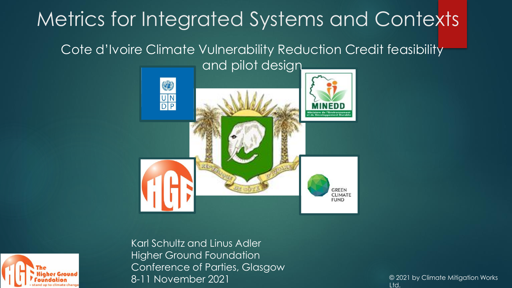## Metrics for Integrated Systems and Contexts

### Cote d'Ivoire Climate Vulnerability Reduction Credit feasibility





Karl Schultz and Linus Adler Higher Ground Foundation Conference of Parties, Glasgow 8-11 November 2021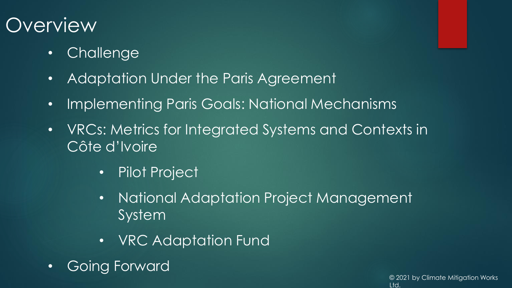## **Overview**

- Challenge
- Adaptation Under the Paris Agreement
- Implementing Paris Goals: National Mechanisms
- VRCs: Metrics for Integrated Systems and Contexts in Côte d'Ivoire
	- Pilot Project
	- National Adaptation Project Management System
	- VRC Adaptation Fund
- Going Forward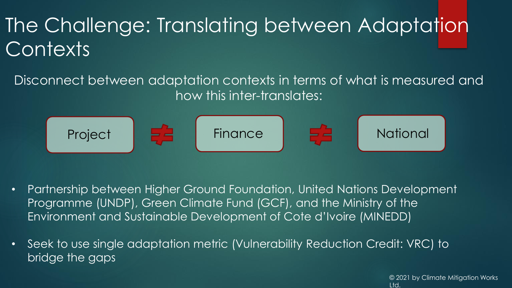## The Challenge: Translating between Adaptation **Contexts**

Disconnect between adaptation contexts in terms of what is measured and how this inter-translates:



- Partnership between Higher Ground Foundation, United Nations Development Programme (UNDP), Green Climate Fund (GCF), and the Ministry of the Environment and Sustainable Development of Cote d'Ivoire (MINEDD)
- Seek to use single adaptation metric (Vulnerability Reduction Credit: VRC) to bridge the gaps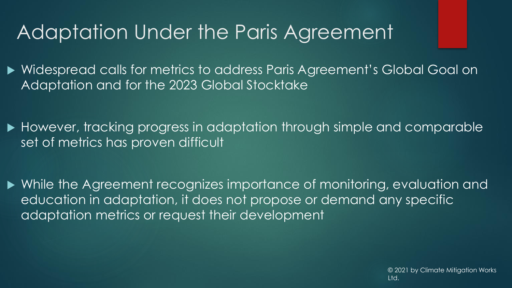## Adaptation Under the Paris Agreement

 Widespread calls for metrics to address Paris Agreement's Global Goal on Adaptation and for the 2023 Global Stocktake

However, tracking progress in adaptation through simple and comparable set of metrics has proven difficult

 While the Agreement recognizes importance of monitoring, evaluation and education in adaptation, it does not propose or demand any specific adaptation metrics or request their development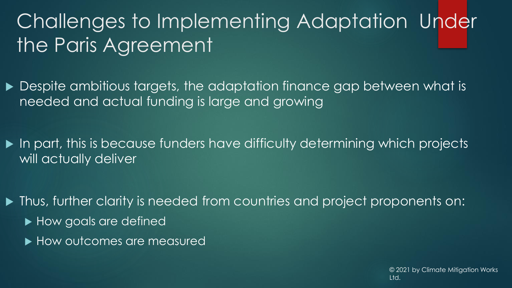## Challenges to Implementing Adaptation Under the Paris Agreement

- ▶ Despite ambitious targets, the adaptation finance gap between what is needed and actual funding is large and growing
- $\blacktriangleright$  In part, this is because funders have difficulty determining which projects will actually deliver
- $\blacktriangleright$  Thus, further clarity is needed from countries and project proponents on:
	- ▶ How goals are defined
	- ▶ How outcomes are measured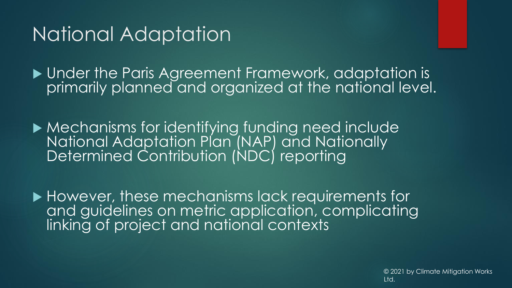## National Adaptation

**Inder the Paris Agreement Framework, adaptation is** primarily planned and organized at the national level.

 Mechanisms for identifying funding need include National Adaptation Plan (NAP) and Nationally Determined Contribution (NDC) reporting

▶ However, these mechanisms lack requirements for and guidelines on metric application, complicating linking of project and national contexts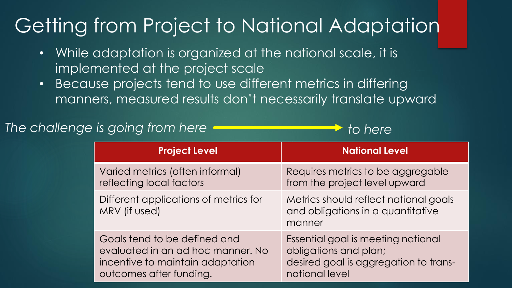## Getting from Project to National Adaptation

- While adaptation is organized at the national scale, it is implemented at the project scale
- Because projects tend to use different metrics in differing manners, measured results don't necessarily translate upward

### *The challenge is going from here to here*

| <b>Project Level</b>                                   | <b>National Level</b>                                                                |
|--------------------------------------------------------|--------------------------------------------------------------------------------------|
| Varied metrics (often informal)                        | Requires metrics to be aggregable                                                    |
| reflecting local factors                               | from the project level upward                                                        |
| Different applications of metrics for<br>MRV (if used) | Metrics should reflect national goals<br>and obligations in a quantitative<br>manner |
| Goals tend to be defined and                           | Essential goal is meeting national                                                   |
| evaluated in an ad hoc manner. No                      | obligations and plan;                                                                |
| incentive to maintain adaptation                       | desired goal is aggregation to trans-                                                |
| outcomes after funding.                                | national level                                                                       |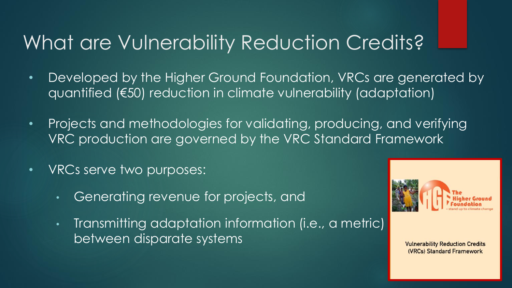## What are Vulnerability Reduction Credits?

- Developed by the Higher Ground Foundation, VRCs are generated by quantified (€50) reduction in climate vulnerability (adaptation)
- Projects and methodologies for validating, producing, and verifying VRC production are governed by the VRC Standard Framework
- VRCs serve two purposes:
	- Generating revenue for projects, and
	- Transmitting adaptation information (i.e., a metric) between disparate systems



**Vulnerability Reduction Credits** (VRCs) Standard Framework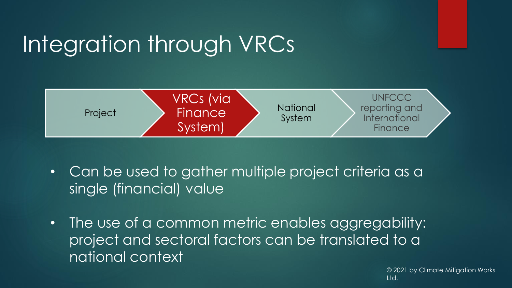## Integration through VRCs



- Can be used to gather multiple project criteria as a single (financial) value
- The use of a common metric enables aggregability: project and sectoral factors can be translated to a national context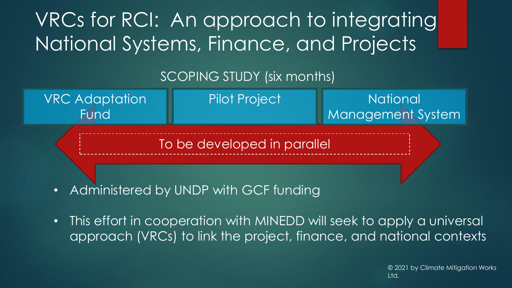VRCs for RCI: An approach to integrating National Systems, Finance, and Projects

### SCOPING STUDY (six months)

**National** Management System Pilot Project To be developed in parallel VRC Adaptation Fund

- Administered by UNDP with GCF funding
- This effort in cooperation with MINEDD will seek to apply a universal approach (VRCs) to link the project, finance, and national contexts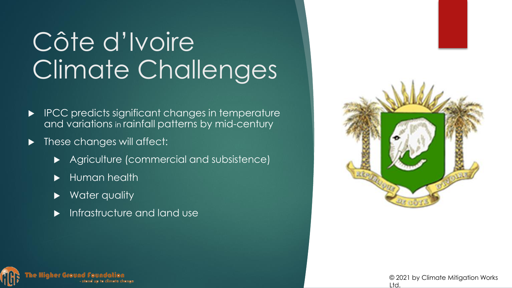# Côte d'Ivoire Climate Challenges

- IPCC predicts significant changes in temperature and variations in rainfall patterns by mid-century
- These changes will affect:
	- Agriculture (commercial and subsistence)
	- Human health
	- Water quality
	- Infrastructure and land use



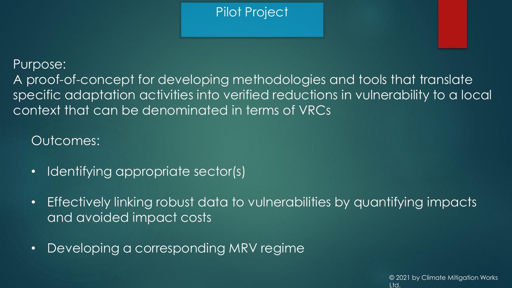### Pilot Project

#### Purpose:

A proof-of-concept for developing methodologies and tools that translate specific adaptation activities into verified reductions in vulnerability to a local context that can be denominated in terms of VRCs

### Outcomes:

- Identifying appropriate sector(s)
- Effectively linking robust data to vulnerabilities by quantifying impacts and avoided impact costs
- Developing a corresponding MRV regime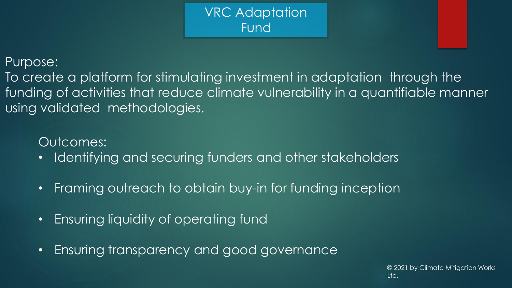VRC Adaptation Fund

Purpose:

To create a platform for stimulating investment in adaptation through the funding of activities that reduce climate vulnerability in a quantifiable manner using validated methodologies.

Outcomes:

- Identifying and securing funders and other stakeholders
- Framing outreach to obtain buy-in for funding inception
- Ensuring liquidity of operating fund
- Ensuring transparency and good governance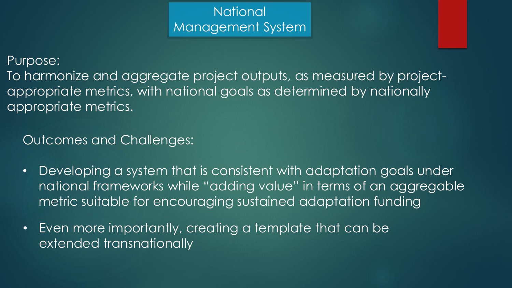### **National** Management System

#### Purpose:

To harmonize and aggregate project outputs, as measured by projectappropriate metrics, with national goals as determined by nationally appropriate metrics.

Outcomes and Challenges:

- Developing a system that is consistent with adaptation goals under national frameworks while "adding value" in terms of an aggregable metric suitable for encouraging sustained adaptation funding
- Even more importantly, creating a template that can be extended transnationally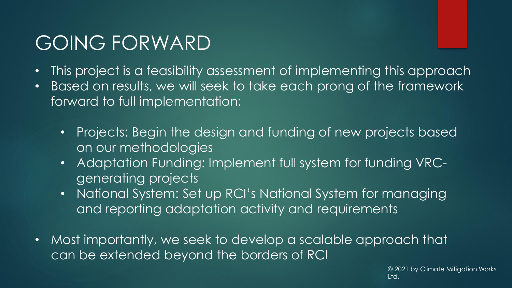## GOING FORWARD

- This project is a feasibility assessment of implementing this approach
- Based on results, we will seek to take each prong of the framework forward to full implementation:
	- Projects: Begin the design and funding of new projects based on our methodologies
	- Adaptation Funding: Implement full system for funding VRCgenerating projects
	- National System: Set up RCI's National System for managing and reporting adaptation activity and requirements
- Most importantly, we seek to develop a scalable approach that can be extended beyond the borders of RCI